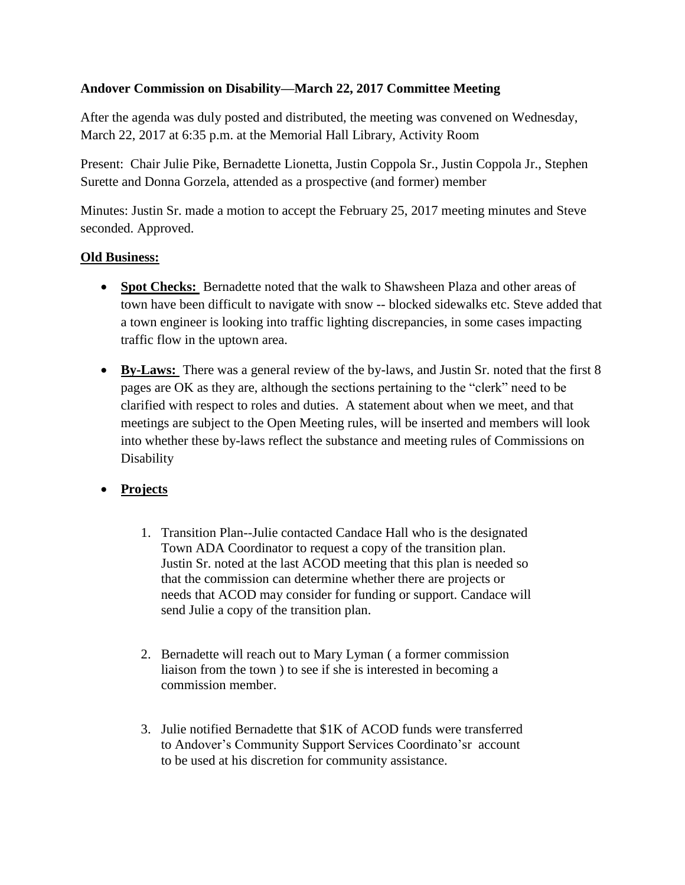## **Andover Commission on Disability—March 22, 2017 Committee Meeting**

After the agenda was duly posted and distributed, the meeting was convened on Wednesday, March 22, 2017 at 6:35 p.m. at the Memorial Hall Library, Activity Room

Present: Chair Julie Pike, Bernadette Lionetta, Justin Coppola Sr., Justin Coppola Jr., Stephen Surette and Donna Gorzela, attended as a prospective (and former) member

Minutes: Justin Sr. made a motion to accept the February 25, 2017 meeting minutes and Steve seconded. Approved.

## **Old Business:**

- **Spot Checks:** Bernadette noted that the walk to Shawsheen Plaza and other areas of town have been difficult to navigate with snow -- blocked sidewalks etc. Steve added that a town engineer is looking into traffic lighting discrepancies, in some cases impacting traffic flow in the uptown area.
- **By-Laws:** There was a general review of the by-laws, and Justin Sr. noted that the first 8 pages are OK as they are, although the sections pertaining to the "clerk" need to be clarified with respect to roles and duties. A statement about when we meet, and that meetings are subject to the Open Meeting rules, will be inserted and members will look into whether these by-laws reflect the substance and meeting rules of Commissions on Disability

**Projects**

- 1. Transition Plan--Julie contacted Candace Hall who is the designated Town ADA Coordinator to request a copy of the transition plan. Justin Sr. noted at the last ACOD meeting that this plan is needed so that the commission can determine whether there are projects or needs that ACOD may consider for funding or support. Candace will send Julie a copy of the transition plan.
- 2. Bernadette will reach out to Mary Lyman ( a former commission liaison from the town ) to see if she is interested in becoming a commission member.
- 3. Julie notified Bernadette that \$1K of ACOD funds were transferred to Andover's Community Support Services Coordinato'sr account to be used at his discretion for community assistance.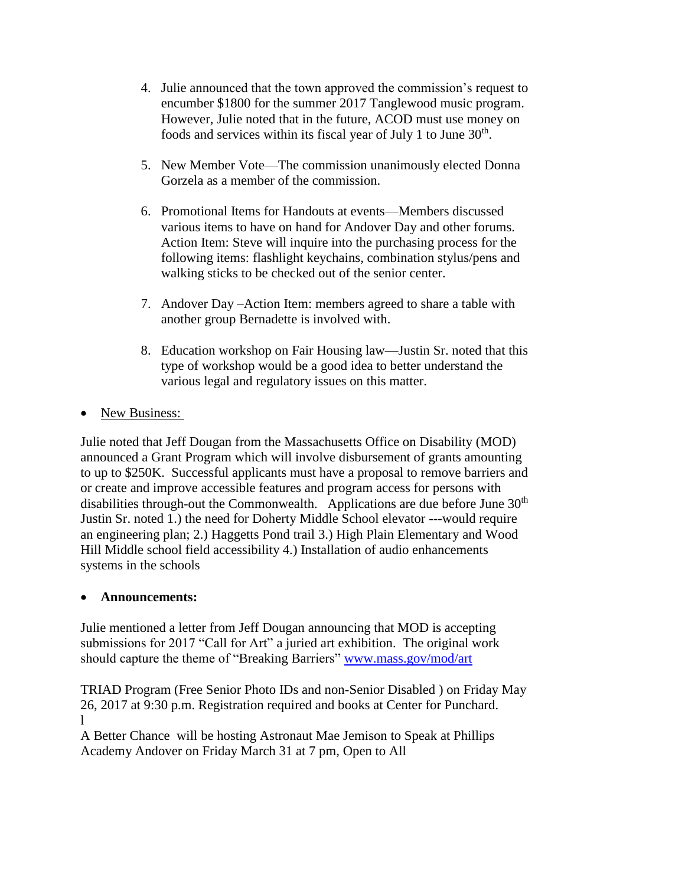- 4. Julie announced that the town approved the commission's request to encumber \$1800 for the summer 2017 Tanglewood music program. However, Julie noted that in the future, ACOD must use money on foods and services within its fiscal year of July 1 to June  $30<sup>th</sup>$ .
- 5. New Member Vote—The commission unanimously elected Donna Gorzela as a member of the commission.
- 6. Promotional Items for Handouts at events—Members discussed various items to have on hand for Andover Day and other forums. Action Item: Steve will inquire into the purchasing process for the following items: flashlight keychains, combination stylus/pens and walking sticks to be checked out of the senior center.
- 7. Andover Day –Action Item: members agreed to share a table with another group Bernadette is involved with.
- 8. Education workshop on Fair Housing law—Justin Sr. noted that this type of workshop would be a good idea to better understand the various legal and regulatory issues on this matter.
- New Business:

Julie noted that Jeff Dougan from the Massachusetts Office on Disability (MOD) announced a Grant Program which will involve disbursement of grants amounting to up to \$250K. Successful applicants must have a proposal to remove barriers and or create and improve accessible features and program access for persons with disabilities through-out the Commonwealth. Applications are due before June  $30<sup>th</sup>$ Justin Sr. noted 1.) the need for Doherty Middle School elevator ---would require an engineering plan; 2.) Haggetts Pond trail 3.) High Plain Elementary and Wood Hill Middle school field accessibility 4.) Installation of audio enhancements systems in the schools

## **Announcements:**

Julie mentioned a letter from Jeff Dougan announcing that MOD is accepting submissions for 2017 "Call for Art" a juried art exhibition. The original work should capture the theme of "Breaking Barriers" [www.mass.gov/mod/art](http://www.mass.gov/mod/art)

TRIAD Program (Free Senior Photo IDs and non-Senior Disabled ) on Friday May 26, 2017 at 9:30 p.m. Registration required and books at Center for Punchard. l

A Better Chance will be hosting Astronaut Mae Jemison to Speak at Phillips Academy Andover on Friday March 31 at 7 pm, Open to All